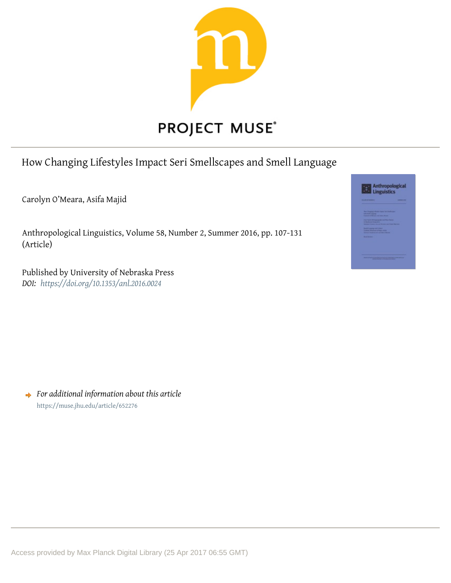

# How Changing Lifestyles Impact Seri Smellscapes and Smell Language

Carolyn O'Meara, Asifa Majid

Anthropological Linguistics, Volume 58, Number 2, Summer 2016, pp. 107-131 (Article)

Published by University of Nebraska Press *DOI: <https://doi.org/10.1353/anl.2016.0024>*



*For additional information about this article* <https://muse.jhu.edu/article/652276>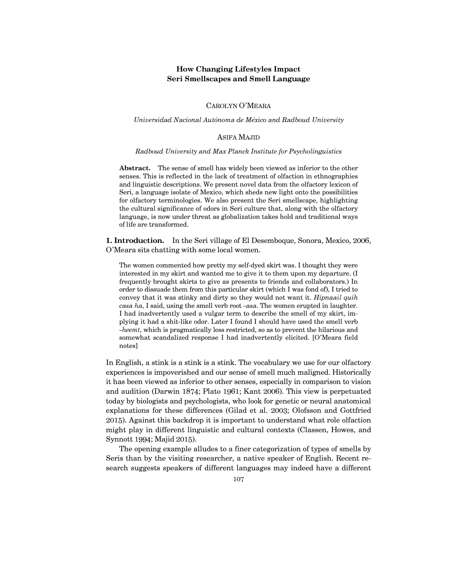# **How Changing Lifestyles Impact Seri Smellscapes and Smell Language**

CAROLYN O'MEARA

*Universidad Nacional Autónoma de México and Radboud University*

## ASIFA MAJID

#### *Radboud University and Max Planck Institute for Psycholinguistics*

**Abstract.** The sense of smell has widely been viewed as inferior to the other senses. This is reflected in the lack of treatment of olfaction in ethnographies and linguistic descriptions. We present novel data from the olfactory lexicon of Seri, a language isolate of Mexico, which sheds new light onto the possibilities for olfactory terminologies. We also present the Seri smellscape, highlighting the cultural significance of odors in Seri culture that, along with the olfactory language, is now under threat as globalization takes hold and traditional ways of life are transformed.

**1. Introduction.** In the Seri village of El Desemboque, Sonora, Mexico, 2006, O'Meara sits chatting with some local women.

The women commented how pretty my self-dyed skirt was. I thought they were interested in my skirt and wanted me to give it to them upon my departure. (I frequently brought skirts to give as presents to friends and collaborators.) In order to dissuade them from this particular skirt (which I was fond of), I tried to convey that it was stinky and dirty so they would not want it. *Hipnaail quih casa ha*, I said, using the smell verb root *¤asa*. The women erupted in laughter. I had inadvertently used a vulgar term to describe the smell of my skirt, implying it had a shit-like odor. Later I found I should have used the smell verb *¤heemt*, which is pragmatically less restricted, so as to prevent the hilarious and somewhat scandalized response I had inadvertently elicited. [O'Meara field notes]

In English, a stink is a stink is a stink. The vocabulary we use for our olfactory experiences is impoverished and our sense of smell much maligned. Historically it has been viewed as inferior to other senses, especially in comparison to vision and audition (Darwin 1874; Plato 1961; Kant 2006). This view is perpetuated today by biologists and psychologists, who look for genetic or neural anatomical explanations for these differences (Gilad et al. 2003; Olofsson and Gottfried 2015). Against this backdrop it is important to understand what role olfaction might play in different linguistic and cultural contexts (Classen, Howes, and Synnott 1994; Majid 2015).

The opening example alludes to a finer categorization of types of smells by Seris than by the visiting researcher, a native speaker of English. Recent research suggests speakers of different languages may indeed have a different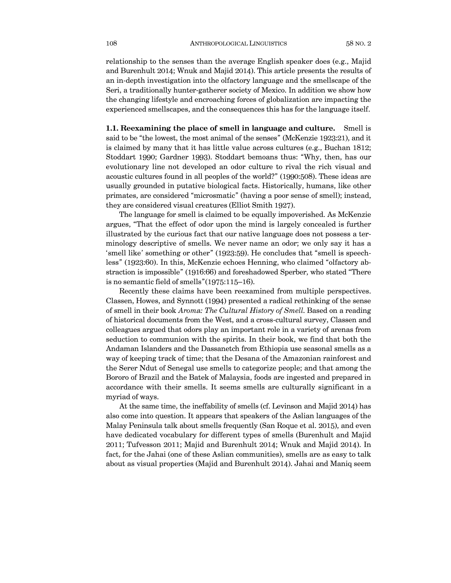relationship to the senses than the average English speaker does (e.g., Majid and Burenhult 2014; Wnuk and Majid 2014). This article presents the results of an in-depth investigation into the olfactory language and the smellscape of the Seri, a traditionally hunter-gatherer society of Mexico. In addition we show how the changing lifestyle and encroaching forces of globalization are impacting the experienced smellscapes, and the consequences this has for the language itself.

**1.1. Reexamining the place of smell in language and culture.** Smell is said to be "the lowest, the most animal of the senses" (McKenzie 1923:21), and it is claimed by many that it has little value across cultures (e.g., Buchan 1812; Stoddart 1990; Gardner 1993). Stoddart bemoans thus: "Why, then, has our evolutionary line not developed an odor culture to rival the rich visual and acoustic cultures found in all peoples of the world?" (1990:508). These ideas are usually grounded in putative biological facts. Historically, humans, like other primates, are considered "microsmatic" (having a poor sense of smell); instead, they are considered visual creatures (Elliot Smith 1927).

The language for smell is claimed to be equally impoverished. As McKenzie argues, "That the effect of odor upon the mind is largely concealed is further illustrated by the curious fact that our native language does not possess a terminology descriptive of smells. We never name an odor; we only say it has a 'smell like' something or other" (1923:59). He concludes that "smell is speechless" (1923:60). In this, McKenzie echoes Henning, who claimed "olfactory abstraction is impossible" (1916:66) and foreshadowed Sperber, who stated "There is no semantic field of smells"(1975:115—16).

Recently these claims have been reexamined from multiple perspectives. Classen, Howes, and Synnott (1994) presented a radical rethinking of the sense of smell in their book *Aroma: The Cultural History of Smell*. Based on a reading of historical documents from the West, and a cross-cultural survey, Classen and colleagues argued that odors play an important role in a variety of arenas from seduction to communion with the spirits. In their book, we find that both the Andaman Islanders and the Dassanetch from Ethiopia use seasonal smells as a way of keeping track of time; that the Desana of the Amazonian rainforest and the Serer Ndut of Senegal use smells to categorize people; and that among the Bororo of Brazil and the Batek of Malaysia, foods are ingested and prepared in accordance with their smells. It seems smells are culturally significant in a myriad of ways.

At the same time, the ineffability of smells (cf. Levinson and Majid 2014) has also come into question. It appears that speakers of the Aslian languages of the Malay Peninsula talk about smells frequently (San Roque et al. 2015), and even have dedicated vocabulary for different types of smells (Burenhult and Majid 2011; Tufvesson 2011; Majid and Burenhult 2014; Wnuk and Majid 2014). In fact, for the Jahai (one of these Aslian communities), smells are as easy to talk about as visual properties (Majid and Burenhult 2014). Jahai and Maniq seem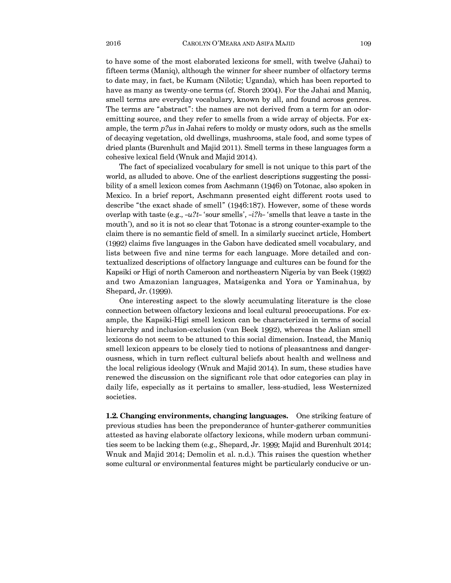to have some of the most elaborated lexicons for smell, with twelve (Jahai) to fifteen terms (Maniq), although the winner for sheer number of olfactory terms to date may, in fact, be Kumam (Nilotic; Uganda), which has been reported to have as many as twenty-one terms (cf. Storch 2004). For the Jahai and Maniq, smell terms are everyday vocabulary, known by all, and found across genres. The terms are "abstract": the names are not derived from a term for an odoremitting source, and they refer to smells from a wide array of objects. For example, the term *pýus* in Jahai refers to moldy or musty odors, such as the smells of decaying vegetation, old dwellings, mushrooms, stale food, and some types of dried plants (Burenhult and Majid 2011). Smell terms in these languages form a cohesive lexical field (Wnuk and Majid 2014).

The fact of specialized vocabulary for smell is not unique to this part of the world, as alluded to above. One of the earliest descriptions suggesting the possibility of a smell lexicon comes from Aschmann (1946) on Totonac, also spoken in Mexico. In a brief report, Aschmann presented eight different roots used to describe "the exact shade of smell" (1946:187). However, some of these words overlap with taste (e.g.,  $-u^2t$ -'sour smells',  $-i^2h$ -'smells that leave a taste in the mouth'), and so it is not so clear that Totonac is a strong counter-example to the claim there is no semantic field of smell. In a similarly succinct article, Hombert (1992) claims five languages in the Gabon have dedicated smell vocabulary, and lists between five and nine terms for each language. More detailed and contextualized descriptions of olfactory language and cultures can be found for the Kapsiki or Higi of north Cameroon and northeastern Nigeria by van Beek (1992) and two Amazonian languages, Matsigenka and Yora or Yaminahua, by Shepard, Jr. (1999).

One interesting aspect to the slowly accumulating literature is the close connection between olfactory lexicons and local cultural preoccupations. For example, the Kapsiki-Higi smell lexicon can be characterized in terms of social hierarchy and inclusion-exclusion (van Beek 1992), whereas the Aslian smell lexicons do not seem to be attuned to this social dimension. Instead, the Maniq smell lexicon appears to be closely tied to notions of pleasantness and dangerousness, which in turn reflect cultural beliefs about health and wellness and the local religious ideology (Wnuk and Majid 2014). In sum, these studies have renewed the discussion on the significant role that odor categories can play in daily life, especially as it pertains to smaller, less-studied, less Westernized societies.

**1.2. Changing environments, changing languages.** One striking feature of previous studies has been the preponderance of hunter-gatherer communities attested as having elaborate olfactory lexicons, while modern urban communities seem to be lacking them (e.g., Shepard, Jr. 1999; Majid and Burenhult 2014; Wnuk and Majid 2014; Demolin et al. n.d.). This raises the question whether some cultural or environmental features might be particularly conducive or un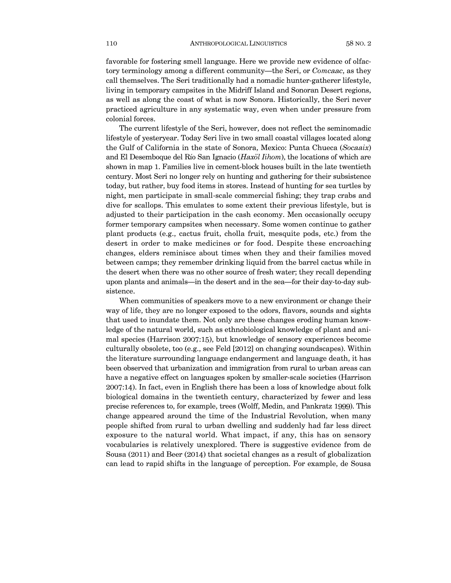favorable for fostering smell language. Here we provide new evidence of olfactory terminology among a different community–the Seri, or *Comcaac*, as they call themselves. The Seri traditionally had a nomadic hunter-gatherer lifestyle, living in temporary campsites in the Midriff Island and Sonoran Desert regions, as well as along the coast of what is now Sonora. Historically, the Seri never practiced agriculture in any systematic way, even when under pressure from colonial forces.

The current lifestyle of the Seri, however, does not reflect the seminomadic lifestyle of yesteryear. Today Seri live in two small coastal villages located along the Gulf of California in the state of Sonora, Mexico: Punta Chueca (*Socaaix*) and El Desemboque del Río San Ignacio (*Haxöl Iihom*), the locations of which are shown in map 1. Families live in cement-block houses built in the late twentieth century. Most Seri no longer rely on hunting and gathering for their subsistence today, but rather, buy food items in stores. Instead of hunting for sea turtles by night, men participate in small-scale commercial fishing; they trap crabs and dive for scallops. This emulates to some extent their previous lifestyle, but is adjusted to their participation in the cash economy. Men occasionally occupy former temporary campsites when necessary. Some women continue to gather plant products (e.g., cactus fruit, cholla fruit, mesquite pods, etc.) from the desert in order to make medicines or for food. Despite these encroaching changes, elders reminisce about times when they and their families moved between camps; they remember drinking liquid from the barrel cactus while in the desert when there was no other source of fresh water; they recall depending upon plants and animals–in the desert and in the sea–for their day-to-day subsistence.

When communities of speakers move to a new environment or change their way of life, they are no longer exposed to the odors, flavors, sounds and sights that used to inundate them. Not only are these changes eroding human knowledge of the natural world, such as ethnobiological knowledge of plant and animal species (Harrison 2007:15), but knowledge of sensory experiences become culturally obsolete, too (e.g., see Feld [2012] on changing soundscapes). Within the literature surrounding language endangerment and language death, it has been observed that urbanization and immigration from rural to urban areas can have a negative effect on languages spoken by smaller-scale societies (Harrison 2007:14). In fact, even in English there has been a loss of knowledge about folk biological domains in the twentieth century, characterized by fewer and less precise references to, for example, trees (Wolff, Medin, and Pankratz 1999). This change appeared around the time of the Industrial Revolution, when many people shifted from rural to urban dwelling and suddenly had far less direct exposure to the natural world. What impact, if any, this has on sensory vocabularies is relatively unexplored. There is suggestive evidence from de Sousa (2011) and Beer (2014) that societal changes as a result of globalization can lead to rapid shifts in the language of perception. For example, de Sousa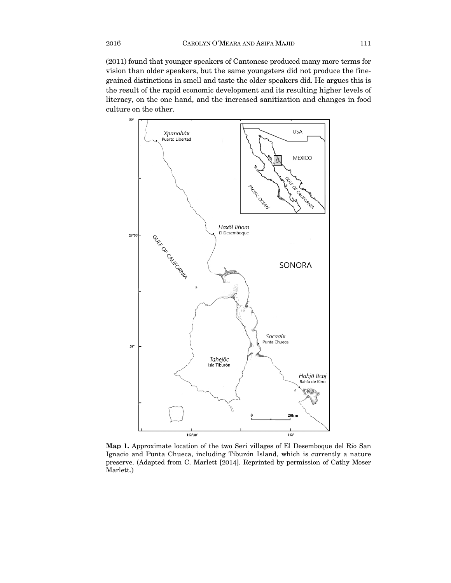(2011) found that younger speakers of Cantonese produced many more terms for vision than older speakers, but the same youngsters did not produce the finegrained distinctions in smell and taste the older speakers did. He argues this is the result of the rapid economic development and its resulting higher levels of literacy, on the one hand, and the increased sanitization and changes in food culture on the other.



**Map 1.** Approximate location of the two Seri villages of El Desemboque del Río San Ignacio and Punta Chueca, including Tiburón Island, which is currently a nature preserve. (Adapted from C. Marlett [2014]. Reprinted by permission of Cathy Moser Marlett.)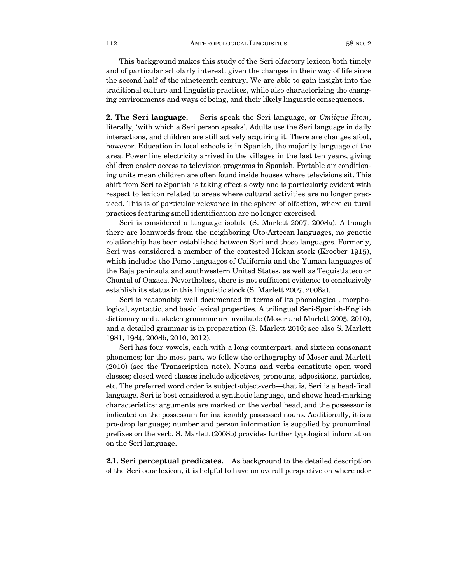This background makes this study of the Seri olfactory lexicon both timely and of particular scholarly interest, given the changes in their way of life since the second half of the nineteenth century. We are able to gain insight into the traditional culture and linguistic practices, while also characterizing the changing environments and ways of being, and their likely linguistic consequences.

**2. The Seri language.** Seris speak the Seri language, or *Cmiique Iitom*, literally, 'with which a Seri person speaks'. Adults use the Seri language in daily interactions, and children are still actively acquiring it. There are changes afoot, however. Education in local schools is in Spanish, the majority language of the area. Power line electricity arrived in the villages in the last ten years, giving children easier access to television programs in Spanish. Portable air conditioning units mean children are often found inside houses where televisions sit. This shift from Seri to Spanish is taking effect slowly and is particularly evident with respect to lexicon related to areas where cultural activities are no longer practiced. This is of particular relevance in the sphere of olfaction, where cultural practices featuring smell identification are no longer exercised.

Seri is considered a language isolate (S. Marlett 2007, 2008a). Although there are loanwords from the neighboring Uto-Aztecan languages, no genetic relationship has been established between Seri and these languages. Formerly, Seri was considered a member of the contested Hokan stock (Kroeber 1915), which includes the Pomo languages of California and the Yuman languages of the Baja peninsula and southwestern United States, as well as Tequistlateco or Chontal of Oaxaca. Nevertheless, there is not sufficient evidence to conclusively establish its status in this linguistic stock (S. Marlett 2007, 2008a).

Seri is reasonably well documented in terms of its phonological, morphological, syntactic, and basic lexical properties. A trilingual Seri-Spanish-English dictionary and a sketch grammar are available (Moser and Marlett 2005, 2010), and a detailed grammar is in preparation (S. Marlett 2016; see also S. Marlett 1981, 1984, 2008b, 2010, 2012).

Seri has four vowels, each with a long counterpart, and sixteen consonant phonemes; for the most part, we follow the orthography of Moser and Marlett (2010) (see the Transcription note). Nouns and verbs constitute open word classes; closed word classes include adjectives, pronouns, adpositions, particles, etc. The preferred word order is subject-object-verb–that is, Seri is a head-final language. Seri is best considered a synthetic language, and shows head-marking characteristics: arguments are marked on the verbal head, and the possessor is indicated on the possessum for inalienably possessed nouns. Additionally, it is a pro-drop language; number and person information is supplied by pronominal prefixes on the verb. S. Marlett (2008b) provides further typological information on the Seri language.

**2.1. Seri perceptual predicates.** As background to the detailed description of the Seri odor lexicon, it is helpful to have an overall perspective on where odor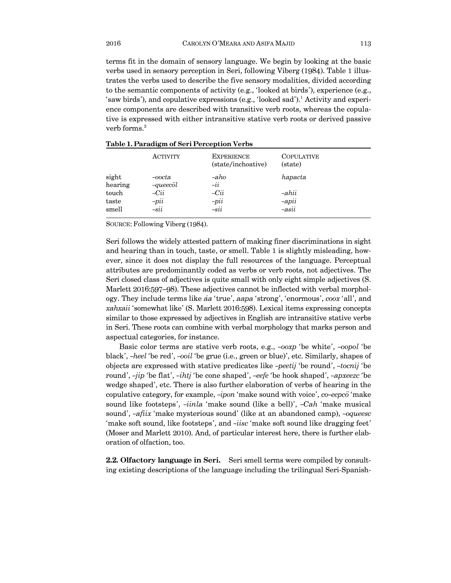terms fit in the domain of sensory language. We begin by looking at the basic verbs used in sensory perception in Seri, following Viberg (1984). Table 1 illustrates the verbs used to describe the five sensory modalities, divided according to the semantic components of activity (e.g., 'looked at birds'), experience (e.g., 'saw birds'), and copulative expressions (e.g., 'looked sad').<sup>1</sup> Activity and experience components are described with transitive verb roots, whereas the copulative is expressed with either intransitive stative verb roots or derived passive verb forms.<sup>2</sup>

|                  | <b>ACTIVITY</b>        | <b>EXPERIENCE</b><br>(state/inchoative) | <b>COPULATIVE</b><br>(state) |
|------------------|------------------------|-----------------------------------------|------------------------------|
| sight<br>hearing | $-oocta$<br>$-queecöl$ | $-aho$<br>$-i\dot{i}$                   | hapacta                      |
| touch            | $-Cii$                 | $-Cii$                                  | -ahii                        |
| taste            | $-pii$                 | $-pii$                                  | $-\alpha$ pii                |
| smell            | $-sii$                 | $-sii$                                  | $-asii$                      |

#### **Table 1. Paradigm of Seri Perception Verbs**

SOURCE: Following Viberg (1984).

Seri follows the widely attested pattern of making finer discriminations in sight and hearing than in touch, taste, or smell. Table 1 is slightly misleading, however, since it does not display the full resources of the language. Perceptual attributes are predominantly coded as verbs or verb roots, not adjectives. The Seri closed class of adjectives is quite small with only eight simple adjectives (S. Marlett 2016:597—98). These adjectives cannot be inflected with verbal morphology. They include terms like *áa* 'true', *aapa* 'strong', 'enormous', *coox* 'all', and *xahxaii* 'somewhat like' (S. Marlett 2016:598). Lexical items expressing concepts similar to those expressed by adjectives in English are intransitive stative verbs in Seri. These roots can combine with verbal morphology that marks person and aspectual categories, for instance.

Basic color terms are stative verb roots, e.g., *-ooxp* 'be white', *-oopol* 'be black', *¤heel* 'be red', *¤ooil* 'be grue (i.e., green or blue)', etc. Similarly, shapes of objects are expressed with stative predicates like *¤peetij* 'be round', *¤tocnij* 'be round', *¤jip* 'be flat', *¤ihtj* 'be cone shaped', *¤eefe* 'be hook shaped', *¤apxeezc* 'be wedge shaped', etc. There is also further elaboration of verbs of hearing in the copulative category, for example, *-ipon* 'make sound with voice', *co-eepco* 'make sound like footsteps', *-iinla* 'make sound (like a bell)', *-Cah* 'make musical sound', *-afiix* 'make mysterious sound' (like at an abandoned camp), *-oqueesc* 'make soft sound, like footsteps', and *¤iisc* 'make soft sound like dragging feet' (Moser and Marlett 2010). And, of particular interest here, there is further elaboration of olfaction, too.

**2.2. Olfactory language in Seri.** Seri smell terms were compiled by consulting existing descriptions of the language including the trilingual Seri-Spanish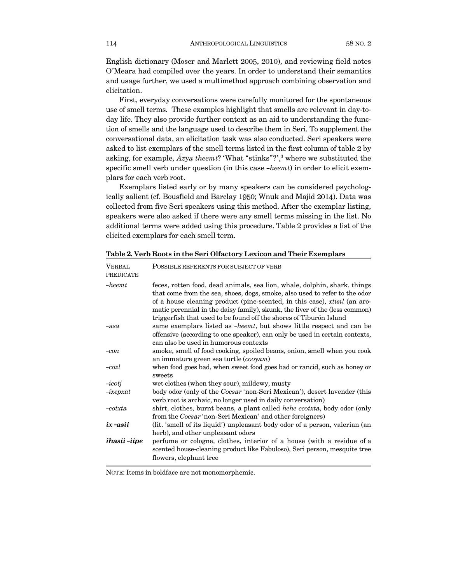English dictionary (Moser and Marlett 2005, 2010), and reviewing field notes O'Meara had compiled over the years. In order to understand their semantics and usage further, we used a multimethod approach combining observation and elicitation.

First, everyday conversations were carefully monitored for the spontaneous use of smell terms. These examples highlight that smells are relevant in day-today life. They also provide further context as an aid to understanding the function of smells and the language used to describe them in Seri. To supplement the conversational data, an elicitation task was also conducted. Seri speakers were asked to list exemplars of the smell terms listed in the first column of table 2 by asking, for example, *Ázya theemt*? 'What "stinks"?',<sup>3</sup> where we substituted the specific smell verb under question (in this case *-heemt*) in order to elicit exemplars for each verb root.

Exemplars listed early or by many speakers can be considered psychologically salient (cf. Bousfield and Barclay 1950; Wnuk and Majid 2014). Data was collected from five Seri speakers using this method. After the exemplar listing, speakers were also asked if there were any smell terms missing in the list. No additional terms were added using this procedure. Table 2 provides a list of the elicited exemplars for each smell term.

| <b>VERBAL</b><br><b>PREDICATE</b> | POSSIBLE REFERENTS FOR SUBJECT OF VERB                                                                                                                                                                                                                                                                                                                                                    |
|-----------------------------------|-------------------------------------------------------------------------------------------------------------------------------------------------------------------------------------------------------------------------------------------------------------------------------------------------------------------------------------------------------------------------------------------|
| $-heemt$                          | feces, rotten food, dead animals, sea lion, whale, dolphin, shark, things<br>that come from the sea, shoes, dogs, smoke, also used to refer to the odor<br>of a house cleaning product (pine-scented, in this case), xtisil (an aro-<br>matic perennial in the daisy family), skunk, the liver of the (less common)<br>triggerfish that used to be found off the shores of Tiburón Island |
| $-asa$                            | same exemplars listed as -heemt, but shows little respect and can be<br>offensive (according to one speaker), can only be used in certain contexts,<br>can also be used in humorous contexts                                                                                                                                                                                              |
| $-con$                            | smoke, smell of food cooking, spoiled beans, onion, smell when you cook<br>an immature green sea turtle $(cooyam)$                                                                                                                                                                                                                                                                        |
| $-cozl$                           | when food goes bad, when sweet food goes bad or rancid, such as honey or<br>sweets                                                                                                                                                                                                                                                                                                        |
| $-icoti$                          | wet clothes (when they sour), mildewy, musty                                                                                                                                                                                                                                                                                                                                              |
| $-i$ xepxat                       | body odor (only of the <i>Cocsar</i> 'non-Seri Mexican'), desert lavender (this<br>verb root is archaic, no longer used in daily conversation)                                                                                                                                                                                                                                            |
| $-cotxta$                         | shirt, clothes, burnt beans, a plant called hehe ccotxta, body odor (only<br>from the Cocsar 'non-Seri Mexican' and other foreigners)                                                                                                                                                                                                                                                     |
| $ix - asii$                       | (lit. 'smell of its liquid') unpleasant body odor of a person, valerian (an<br>herb), and other unpleasant odors                                                                                                                                                                                                                                                                          |
| ihasii-iipe                       | perfume or cologne, clothes, interior of a house (with a residue of a<br>scented house-cleaning product like Fabuloso), Seri person, mesquite tree<br>flowers, elephant tree                                                                                                                                                                                                              |

**Table 2. Verb Roots in the Seri Olfactory Lexicon and Their Exemplars**

NOTE: Items in boldface are not monomorphemic.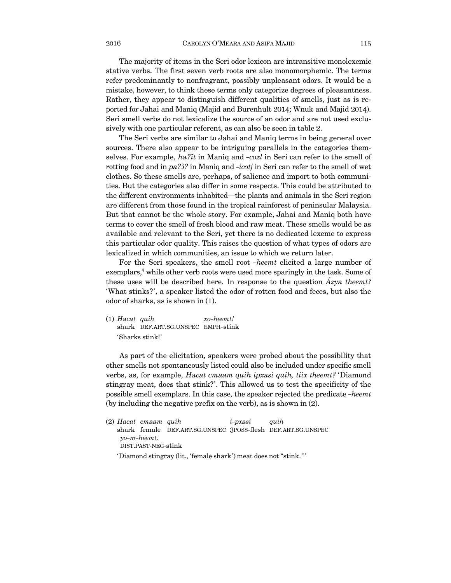The majority of items in the Seri odor lexicon are intransitive monolexemic stative verbs. The first seven verb roots are also monomorphemic. The terms refer predominantly to nonfragrant, possibly unpleasant odors. It would be a mistake, however, to think these terms only categorize degrees of pleasantness. Rather, they appear to distinguish different qualities of smells, just as is reported for Jahai and Maniq (Majid and Burenhult 2014; Wnuk and Majid 2014). Seri smell verbs do not lexicalize the source of an odor and are not used exclusively with one particular referent, as can also be seen in table 2.

The Seri verbs are similar to Jahai and Maniq terms in being general over sources. There also appear to be intriguing parallels in the categories themselves. For example, *haýZt* in Maniq and *¤cozl* in Seri can refer to the smell of rotting food and in *pa*<sup> $75$ </sup>*f* in Maniq and *-icotj* in Seri can refer to the smell of wet clothes. So these smells are, perhaps, of salience and import to both communities. But the categories also differ in some respects. This could be attributed to the different environments inhabited–the plants and animals in the Seri region are different from those found in the tropical rainforest of peninsular Malaysia. But that cannot be the whole story. For example, Jahai and Maniq both have terms to cover the smell of fresh blood and raw meat. These smells would be as available and relevant to the Seri, yet there is no dedicated lexeme to express this particular odor quality. This raises the question of what types of odors are lexicalized in which communities, an issue to which we return later.

For the Seri speakers, the smell root *¤heemt* elicited a large number of exemplars,<sup>4</sup> while other verb roots were used more sparingly in the task. Some of these uses will be described here. In response to the question *Ázya theemt?* 'What stinks?', a speaker listed the odor of rotten food and feces, but also the odor of sharks, as is shown in (1).

(1) *Hacat quih xo-heemt!* shark DEF.ART.SG.UNSPEC EMPH-stink 'Sharks stink!'

As part of the elicitation, speakers were probed about the possibility that other smells not spontaneously listed could also be included under specific smell verbs, as, for example, *Hacat cmaam quih ipxasi quih, tiix theemt?* 'Diamond stingray meat, does that stink?'. This allowed us to test the specificity of the possible smell exemplars. In this case, the speaker rejected the predicate *¤heemt* (by including the negative prefix on the verb), as is shown in (2).

(2) *Hacat cmaam quih i¤pxasi quih* shark female DEF.ART.SG.UNSPEC 3POSS-flesh DEF.ART.SG.UNSPEC *yo-m-heemt.*  DIST.PAST-NEG-stink 'Diamond stingray (lit., 'female shark') meat does not "stink."'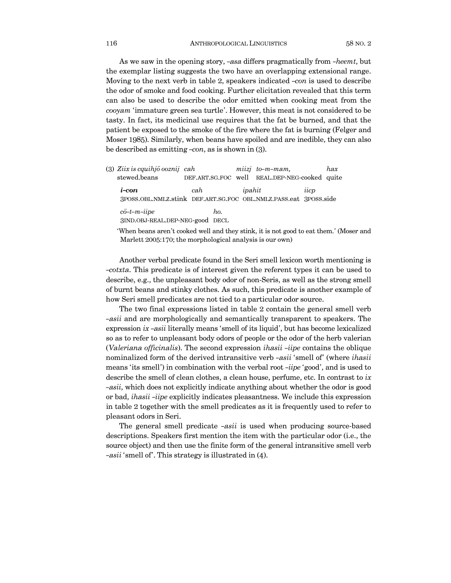As we saw in the opening story, *¤asa* differs pragmatically from *¤heemt*, but the exemplar listing suggests the two have an overlapping extensional range. Moving to the next verb in table 2, speakers indicated *-con* is used to describe the odor of smoke and food cooking. Further elicitation revealed that this term can also be used to describe the odor emitted when cooking meat from the *cooyam* 'immature green sea turtle'. However, this meat is not considered to be tasty. In fact, its medicinal use requires that the fat be burned, and that the patient be exposed to the smoke of the fire where the fat is burning (Felger and Moser 1985). Similarly, when beans have spoiled and are inedible, they can also be described as emitting  $-con$ , as is shown in  $(3)$ .

(3) *Ziix is cquihjo ooznij cah miizj to-m-mam, hax* stewed.beans DEF.ART.SG.FOC well REAL.DEP-NEG-cooked quite *i¤con cah ipahit iicp* 3POSS.OBL.NMLZ.stink DEF.ART.SG.FOC OBL.NMLZ.PASS.eat 3POSS.side *cö¤t¤m¤iipe ho.* 3IND.OBJ-REAL.DEP-NEG-good DECL

'When beans aren't cooked well and they stink, it is not good to eat them.' (Moser and Marlett 2005:170; the morphological analysis is our own)

Another verbal predicate found in the Seri smell lexicon worth mentioning is *¤cotxta*. This predicate is of interest given the referent types it can be used to describe, e.g., the unpleasant body odor of non-Seris, as well as the strong smell of burnt beans and stinky clothes. As such, this predicate is another example of how Seri smell predicates are not tied to a particular odor source.

The two final expressions listed in table 2 contain the general smell verb *¤asii* and are morphologically and semantically transparent to speakers. The expression *ix -asii* literally means 'smell of its liquid', but has become lexicalized so as to refer to unpleasant body odors of people or the odor of the herb valerian (*Valeriana officinalis*). The second expression *ihasii ¤iipe* contains the oblique nominalized form of the derived intransitive verb *¤asii* 'smell of' (where *ihasii* means 'its smell') in combination with the verbal root *¤iipe* 'good', and is used to describe the smell of clean clothes, a clean house, perfume, etc. In contrast to *ix ¤asii*, which does not explicitly indicate anything about whether the odor is good or bad, *ihasii ¤iipe* explicitly indicates pleasantness. We include this expression in table 2 together with the smell predicates as it is frequently used to refer to pleasant odors in Seri.

The general smell predicate *¤asii* is used when producing source-based descriptions. Speakers first mention the item with the particular odor (i.e., the source object) and then use the finite form of the general intransitive smell verb *¤asii* 'smell of'. This strategy is illustrated in (4).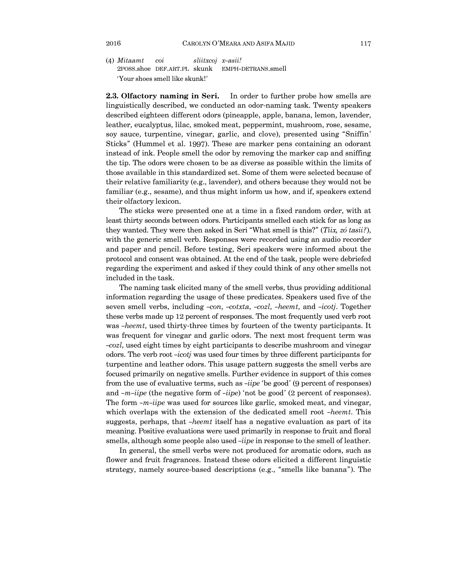(4) *Mitaamt coi sliitxcoj x¤asii!* 2POSS.shoe DEF.ART.PL skunk EMPH-DETRANS.smell 'Your shoes smell like skunk!'

**2.3. Olfactory naming in Seri.** In order to further probe how smells are linguistically described, we conducted an odor-naming task. Twenty speakers described eighteen different odors (pineapple, apple, banana, lemon, lavender, leather, eucalyptus, lilac, smoked meat, peppermint, mushroom, rose, sesame, soy sauce, turpentine, vinegar, garlic, and clove), presented using "Sniffin' Sticks" (Hummel et al. 1997). These are marker pens containing an odorant instead of ink. People smell the odor by removing the marker cap and sniffing the tip. The odors were chosen to be as diverse as possible within the limits of those available in this standardized set. Some of them were selected because of their relative familiarity (e.g., lavender), and others because they would not be familiar (e.g., sesame), and thus might inform us how, and if, speakers extend their olfactory lexicon.

The sticks were presented one at a time in a fixed random order, with at least thirty seconds between odors. Participants smelled each stick for as long as they wanted. They were then asked in Seri "What smell is this?" (*Tiix, zó tasii?*), with the generic smell verb. Responses were recorded using an audio recorder and paper and pencil. Before testing, Seri speakers were informed about the protocol and consent was obtained. At the end of the task, people were debriefed regarding the experiment and asked if they could think of any other smells not included in the task.

The naming task elicited many of the smell verbs, thus providing additional information regarding the usage of these predicates. Speakers used five of the seven smell verbs, including *¤con*, *¤cotxta*, *¤cozl*, *¤heemt*, and *¤icotj*. Together these verbs made up 12 percent of responses. The most frequently used verb root was *-heemt*, used thirty-three times by fourteen of the twenty participants. It was frequent for vinegar and garlic odors. The next most frequent term was *¤cozl*, used eight times by eight participants to describe mushroom and vinegar odors. The verb root *¤icotj* was used four times by three different participants for turpentine and leather odors. This usage pattern suggests the smell verbs are focused primarily on negative smells. Further evidence in support of this comes from the use of evaluative terms, such as *-iipe* 'be good' (9 percent of responses) and *-m-iipe* (the negative form of *-iipe*) 'not be good' (2 percent of responses). The form *¤m¤iipe* was used for sources like garlic, smoked meat, and vinegar, which overlaps with the extension of the dedicated smell root *-heemt*. This suggests, perhaps, that *¤heemt* itself has a negative evaluation as part of its meaning. Positive evaluations were used primarily in response to fruit and floral smells, although some people also used *-iipe* in response to the smell of leather.

In general, the smell verbs were not produced for aromatic odors, such as flower and fruit fragrances. Instead these odors elicited a different linguistic strategy, namely source-based descriptions (e.g., "smells like banana"). The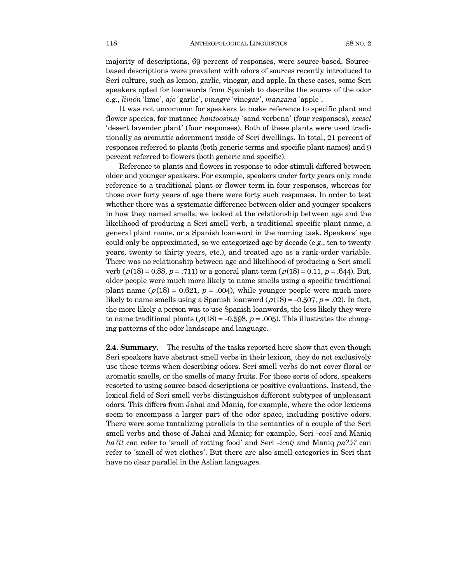majority of descriptions, 69 percent of responses, were source-based. Sourcebased descriptions were prevalent with odors of sources recently introduced to Seri culture, such as lemon, garlic, vinegar, and apple. In these cases, some Seri speakers opted for loanwords from Spanish to describe the source of the odor e.g., *limón* 'lime', *ajo* 'garlic', *vinagre* 'vinegar', *manzana* 'apple'.

It was not uncommon for speakers to make reference to specific plant and flower species, for instance *hantoosinaj* 'sand verbena' (four responses), *xeescl* 'desert lavender plant' (four responses). Both of these plants were used traditionally as aromatic adornment inside of Seri dwellings. In total, 21 percent of responses referred to plants (both generic terms and specific plant names) and 9 percent referred to flowers (both generic and specific).

Reference to plants and flowers in response to odor stimuli differed between older and younger speakers. For example, speakers under forty years only made reference to a traditional plant or flower term in four responses, whereas for those over forty years of age there were forty such responses. In order to test whether there was a systematic difference between older and younger speakers in how they named smells, we looked at the relationship between age and the likelihood of producing a Seri smell verb, a traditional specific plant name, a general plant name, or a Spanish loanword in the naming task. Speakers' age could only be approximated, so we categorized age by decade (e.g., ten to twenty years, twenty to thirty years, etc.), and treated age as a rank-order variable. There was no relationship between age and likelihood of producing a Seri smell verb  $(\rho(18) = 0.88, p = .711)$  or a general plant term  $(\rho(18) = 0.11, p = .644)$ . But, older people were much more likely to name smells using a specific traditional plant name  $(\rho(18) = 0.621, p = .004)$ , while younger people were much more likely to name smells using a Spanish loanword ( $\rho(18) = -0.507$ ,  $p = .02$ ). In fact, the more likely a person was to use Spanish loanwords, the less likely they were to name traditional plants ( $\rho(18) = -0.598$ ,  $p = .005$ ). This illustrates the changing patterns of the odor landscape and language.

**2.4. Summary.** The results of the tasks reported here show that even though Seri speakers have abstract smell verbs in their lexicon, they do not exclusively use these terms when describing odors. Seri smell verbs do not cover floral or aromatic smells, or the smells of many fruits. For these sorts of odors, speakers resorted to using source-based descriptions or positive evaluations. Instead, the lexical field of Seri smell verbs distinguishes different subtypes of unpleasant odors. This differs from Jahai and Maniq, for example, where the odor lexicons seem to encompass a larger part of the odor space, including positive odors. There were some tantalizing parallels in the semantics of a couple of the Seri smell verbs and those of Jahai and Maniq; for example, Seri *-cozl* and Maniq *ha*<sup> $7$ </sup>*it* can refer to 'smell of rotting food' and Seri *-icotj* and Maniq *pa*<sup> $7$ </sup><sup> $3$ </sup> can refer to 'smell of wet clothes'. But there are also smell categories in Seri that have no clear parallel in the Aslian languages.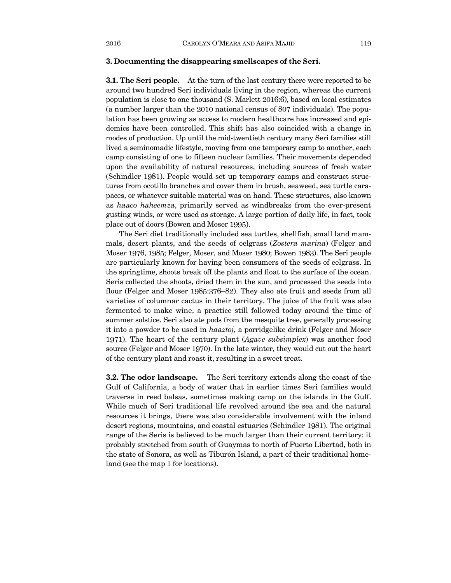#### **3. Documenting the disappearing smellscapes of the Seri.**

**3.1. The Seri people.** At the turn of the last century there were reported to be around two hundred Seri individuals living in the region, whereas the current population is close to one thousand (S. Marlett 2016:6), based on local estimates (a number larger than the 2010 national census of 807 individuals). The population has been growing as access to modern healthcare has increased and epidemics have been controlled. This shift has also coincided with a change in modes of production. Up until the mid-twentieth century many Seri families still lived a seminomadic lifestyle, moving from one temporary camp to another, each camp consisting of one to fifteen nuclear families. Their movements depended upon the availability of natural resources, including sources of fresh water (Schindler 1981). People would set up temporary camps and construct structures from ocotillo branches and cover them in brush, seaweed, sea turtle carapaces, or whatever suitable material was on hand. These structures, also known as *haaco haheemza*, primarily served as windbreaks from the ever-present gusting winds, or were used as storage. A large portion of daily life, in fact, took place out of doors (Bowen and Moser 1995).

The Seri diet traditionally included sea turtles, shellfish, small land mammals, desert plants, and the seeds of eelgrass (*Zostera marina*) (Felger and Moser 1976, 1985; Felger, Moser, and Moser 1980; Bowen 1983). The Seri people are particularly known for having been consumers of the seeds of eelgrass. In the springtime, shoots break off the plants and float to the surface of the ocean. Seris collected the shoots, dried them in the sun, and processed the seeds into flour (Felger and Moser 1985:376—82). They also ate fruit and seeds from all varieties of columnar cactus in their territory. The juice of the fruit was also fermented to make wine, a practice still followed today around the time of summer solstice. Seri also ate pods from the mesquite tree, generally processing it into a powder to be used in *haaztoj*, a porridgelike drink (Felger and Moser 1971). The heart of the century plant (*Agave subsimplex*) was another food source (Felger and Moser 1970). In the late winter, they would cut out the heart of the century plant and roast it, resulting in a sweet treat.

**3.2. The odor landscape.** The Seri territory extends along the coast of the Gulf of California, a body of water that in earlier times Seri families would traverse in reed balsas, sometimes making camp on the islands in the Gulf. While much of Seri traditional life revolved around the sea and the natural resources it brings, there was also considerable involvement with the inland desert regions, mountains, and coastal estuaries (Schindler 1981). The original range of the Seris is believed to be much larger than their current territory; it probably stretched from south of Guaymas to north of Puerto Libertad, both in the state of Sonora, as well as Tiburón Island, a part of their traditional homeland (see the map 1 for locations).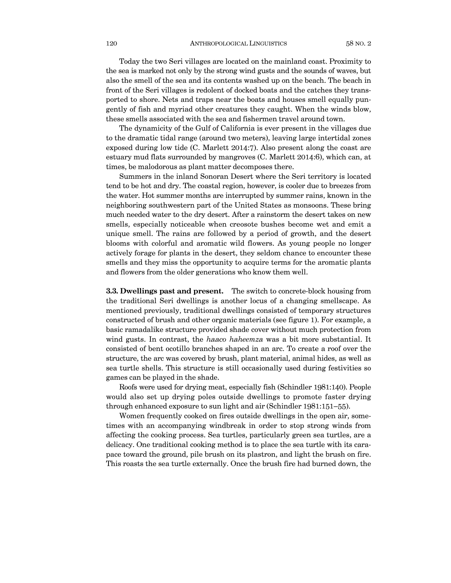Today the two Seri villages are located on the mainland coast. Proximity to the sea is marked not only by the strong wind gusts and the sounds of waves, but also the smell of the sea and its contents washed up on the beach. The beach in front of the Seri villages is redolent of docked boats and the catches they transported to shore. Nets and traps near the boats and houses smell equally pungently of fish and myriad other creatures they caught. When the winds blow, these smells associated with the sea and fishermen travel around town.

The dynamicity of the Gulf of California is ever present in the villages due to the dramatic tidal range (around two meters), leaving large intertidal zones exposed during low tide (C. Marlett 2014:7). Also present along the coast are estuary mud flats surrounded by mangroves (C. Marlett 2014:6), which can, at times, be malodorous as plant matter decomposes there.

Summers in the inland Sonoran Desert where the Seri territory is located tend to be hot and dry. The coastal region, however, is cooler due to breezes from the water. Hot summer months are interrupted by summer rains, known in the neighboring southwestern part of the United States as monsoons. These bring much needed water to the dry desert. After a rainstorm the desert takes on new smells, especially noticeable when creosote bushes become wet and emit a unique smell. The rains are followed by a period of growth, and the desert blooms with colorful and aromatic wild flowers. As young people no longer actively forage for plants in the desert, they seldom chance to encounter these smells and they miss the opportunity to acquire terms for the aromatic plants and flowers from the older generations who know them well.

**3.3. Dwellings past and present.** The switch to concrete-block housing from the traditional Seri dwellings is another locus of a changing smellscape. As mentioned previously, traditional dwellings consisted of temporary structures constructed of brush and other organic materials (see figure 1). For example, a basic ramadalike structure provided shade cover without much protection from wind gusts. In contrast, the *haaco haheemza* was a bit more substantial. It consisted of bent ocotillo branches shaped in an arc. To create a roof over the structure, the arc was covered by brush, plant material, animal hides, as well as sea turtle shells. This structure is still occasionally used during festivities so games can be played in the shade.

Roofs were used for drying meat, especially fish (Schindler 1981:140). People would also set up drying poles outside dwellings to promote faster drying through enhanced exposure to sun light and air (Schindler 1981:151—55).

Women frequently cooked on fires outside dwellings in the open air, sometimes with an accompanying windbreak in order to stop strong winds from affecting the cooking process. Sea turtles, particularly green sea turtles, are a delicacy. One traditional cooking method is to place the sea turtle with its carapace toward the ground, pile brush on its plastron, and light the brush on fire. This roasts the sea turtle externally. Once the brush fire had burned down, the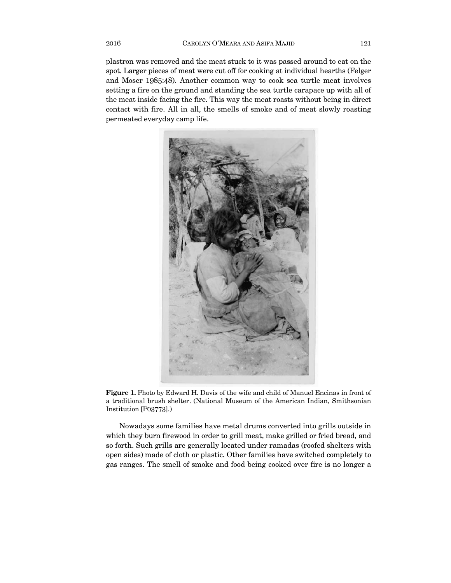plastron was removed and the meat stuck to it was passed around to eat on the spot. Larger pieces of meat were cut off for cooking at individual hearths (Felger and Moser 1985:48). Another common way to cook sea turtle meat involves setting a fire on the ground and standing the sea turtle carapace up with all of the meat inside facing the fire. This way the meat roasts without being in direct contact with fire. All in all, the smells of smoke and of meat slowly roasting permeated everyday camp life.



**Figure 1.** Photo by Edward H. Davis of the wife and child of Manuel Encinas in front of a traditional brush shelter. (National Museum of the American Indian, Smithsonian Institution [P03773].)

Nowadays some families have metal drums converted into grills outside in which they burn firewood in order to grill meat, make grilled or fried bread, and so forth. Such grills are generally located under ramadas (roofed shelters with open sides) made of cloth or plastic. Other families have switched completely to gas ranges. The smell of smoke and food being cooked over fire is no longer a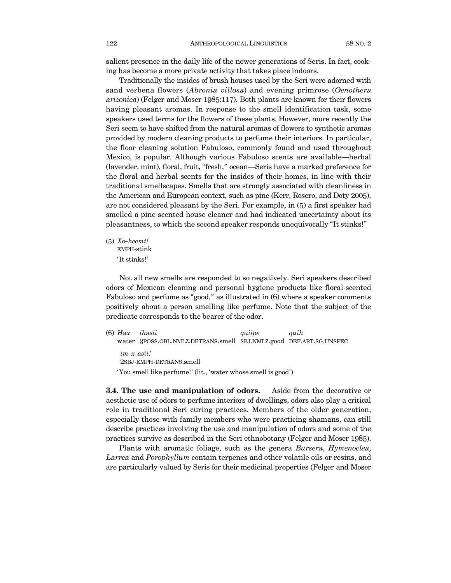salient presence in the daily life of the newer generations of Seris. In fact, cooking has become a more private activity that takes place indoors.

Traditionally the insides of brush houses used by the Seri were adorned with sand verbena flowers (*Abronia villosa*) and evening primrose (*Oenothera arizonica*) (Felger and Moser 1985:117). Both plants are known for their flowers having pleasant aromas. In response to the smell identification task, some speakers used terms for the flowers of these plants. However, more recently the Seri seem to have shifted from the natural aromas of flowers to synthetic aromas provided by modern cleaning products to perfume their interiors. In particular, the floor cleaning solution Fabuloso, commonly found and used throughout Mexico, is popular. Although various Fabuloso scents are available–herbal (lavender, mint), floral, fruit, "fresh," ocean–Seris have a marked preference for the floral and herbal scents for the insides of their homes, in line with their traditional smellscapes. Smells that are strongly associated with cleanliness in the American and European context, such as pine (Kerr, Rosero, and Doty 2005), are not considered pleasant by the Seri. For example, in (5) a first speaker had smelled a pine-scented house cleaner and had indicated uncertainty about its pleasantness, to which the second speaker responds unequivocally "It stinks!"

(5) *Xo-heemt!* EMPH-stink 'It stinks!'

Not all new smells are responded to so negatively. Seri speakers described odors of Mexican cleaning and personal hygiene products like floral-scented Fabuloso and perfume as "good," as illustrated in (6) where a speaker comments positively about a person smelling like perfume. Note that the subject of the predicate corresponds to the bearer of the odor.

(6) *Hax ihasii quiipe quih* water 3POSS.OBL.NMLZ.DETRANS.smell SBJ.NMLZ.good DEF.ART.SG.UNSPEC *im¤x¤asii!* 2SBJ-EMPH-DETRANS.smell 'You smell like perfume!' (lit., 'water whose smell is good')

**3.4. The use and manipulation of odors.** Aside from the decorative or aesthetic use of odors to perfume interiors of dwellings, odors also play a critical role in traditional Seri curing practices. Members of the older generation, especially those with family members who were practicing shamans, can still describe practices involving the use and manipulation of odors and some of the practices survive as described in the Seri ethnobotany (Felger and Moser 1985).

Plants with aromatic foliage, such as the genera *Bursera*, *Hymenoclea*, *Larrea* and *Porophyllum* contain terpenes and other volatile oils or resins, and are particularly valued by Seris for their medicinal properties (Felger and Moser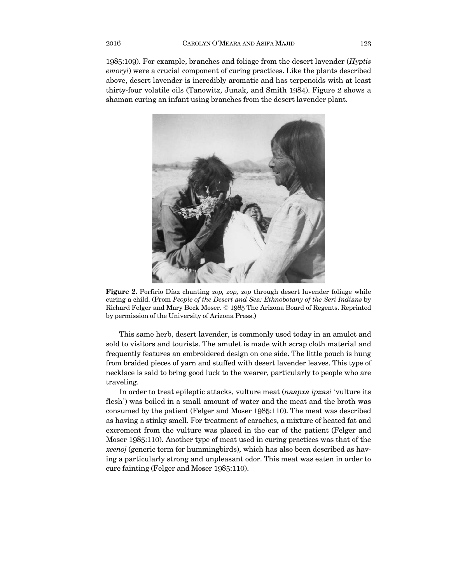1985:109). For example, branches and foliage from the desert lavender (*Hyptis emoryi*) were a crucial component of curing practices. Like the plants described above, desert lavender is incredibly aromatic and has terpenoids with at least thirty-four volatile oils (Tanowitz, Junak, and Smith 1984). Figure 2 shows a shaman curing an infant using branches from the desert lavender plant.



**Figure 2.** Porfirio Díaz chanting *zop, zop, zop* through desert lavender foliage while curing a child. (From *People of the Desert and Sea: Ethnobotany of the Seri Indians* by Richard Felger and Mary Beck Moser. © 1985 The Arizona Board of Regents. Reprinted by permission of the University of Arizona Press.)

This same herb, desert lavender, is commonly used today in an amulet and sold to visitors and tourists. The amulet is made with scrap cloth material and frequently features an embroidered design on one side. The little pouch is hung from braided pieces of yarn and stuffed with desert lavender leaves. This type of necklace is said to bring good luck to the wearer, particularly to people who are traveling.

In order to treat epileptic attacks, vulture meat (*naapxa ipxasi* 'vulture its flesh') was boiled in a small amount of water and the meat and the broth was consumed by the patient (Felger and Moser 1985:110). The meat was described as having a stinky smell. For treatment of earaches, a mixture of heated fat and excrement from the vulture was placed in the ear of the patient (Felger and Moser 1985:110). Another type of meat used in curing practices was that of the *xeenoj* (generic term for hummingbirds), which has also been described as having a particularly strong and unpleasant odor. This meat was eaten in order to cure fainting (Felger and Moser 1985:110).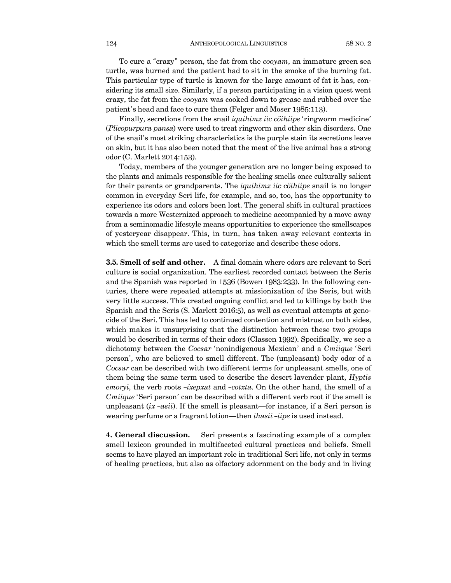To cure a "crazy" person, the fat from the *cooyam*, an immature green sea turtle, was burned and the patient had to sit in the smoke of the burning fat. This particular type of turtle is known for the large amount of fat it has, considering its small size. Similarly, if a person participating in a vision quest went crazy, the fat from the *cooyam* was cooked down to grease and rubbed over the patient's head and face to cure them (Felger and Moser 1985:113).

Finally, secretions from the snail *iquihimz iic cöihiipe* 'ringworm medicine' (*Plicopurpura pansa*) were used to treat ringworm and other skin disorders. One of the snail's most striking characteristics is the purple stain its secretions leave on skin, but it has also been noted that the meat of the live animal has a strong odor (C. Marlett 2014:153).

Today, members of the younger generation are no longer being exposed to the plants and animals responsible for the healing smells once culturally salient for their parents or grandparents. The *iquihimz iic cöihiipe* snail is no longer common in everyday Seri life, for example, and so, too, has the opportunity to experience its odors and colors been lost. The general shift in cultural practices towards a more Westernized approach to medicine accompanied by a move away from a seminomadic lifestyle means opportunities to experience the smellscapes of yesteryear disappear. This, in turn, has taken away relevant contexts in which the smell terms are used to categorize and describe these odors.

**3.5. Smell of self and other.** A final domain where odors are relevant to Seri culture is social organization. The earliest recorded contact between the Seris and the Spanish was reported in 1536 (Bowen 1983:233). In the following centuries, there were repeated attempts at missionization of the Seris, but with very little success. This created ongoing conflict and led to killings by both the Spanish and the Seris (S. Marlett 2016:5), as well as eventual attempts at genocide of the Seri. This has led to continued contention and mistrust on both sides, which makes it unsurprising that the distinction between these two groups would be described in terms of their odors (Classen 1992). Specifically, we see a dichotomy between the *Cocsar* 'nonindigenous Mexican' and a *Cmiique* 'Seri person', who are believed to smell different. The (unpleasant) body odor of a *Cocsar* can be described with two different terms for unpleasant smells, one of them being the same term used to describe the desert lavender plant, *Hyptis emoryi*, the verb roots *¤íxepxat* and *¤cotxta*. On the other hand, the smell of a *Cmiique* 'Seri person' can be described with a different verb root if the smell is unpleasant (*ix ¤asii*). If the smell is pleasant–for instance, if a Seri person is wearing perfume or a fragrant lotion—then *ihasii-iipe* is used instead.

**4. General discussion.** Seri presents a fascinating example of a complex smell lexicon grounded in multifaceted cultural practices and beliefs. Smell seems to have played an important role in traditional Seri life, not only in terms of healing practices, but also as olfactory adornment on the body and in living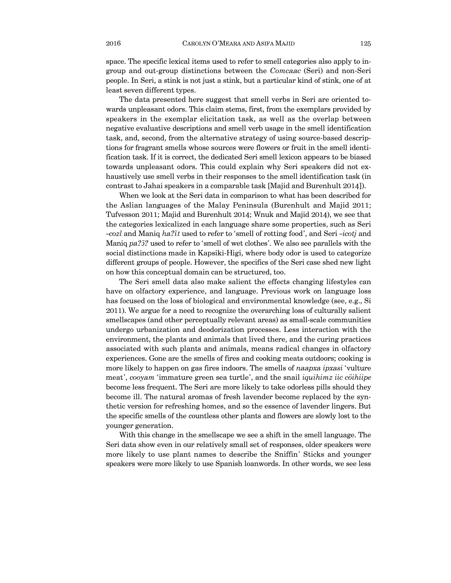space. The specific lexical items used to refer to smell categories also apply to ingroup and out-group distinctions between the *Comcaac* (Seri) and non-Seri people. In Seri, a stink is not just a stink, but a particular kind of stink, one of at least seven different types.

The data presented here suggest that smell verbs in Seri are oriented towards unpleasant odors. This claim stems, first, from the exemplars provided by speakers in the exemplar elicitation task, as well as the overlap between negative evaluative descriptions and smell verb usage in the smell identification task, and, second, from the alternative strategy of using source-based descriptions for fragrant smells whose sources were flowers or fruit in the smell identification task. If it is correct, the dedicated Seri smell lexicon appears to be biased towards unpleasant odors. This could explain why Seri speakers did not exhaustively use smell verbs in their responses to the smell identification task (in contrast to Jahai speakers in a comparable task [Majid and Burenhult 2014]).

When we look at the Seri data in comparison to what has been described for the Aslian languages of the Malay Peninsula (Burenhult and Majid 2011; Tufvesson 2011; Majid and Burenhult 2014; Wnuk and Majid 2014), we see that the categories lexicalized in each language share some properties, such as Seri *acozl* and Maniq *ha?* $\tilde{t}$  used to refer to 'smell of rotting food', and Seri *-icotj* and Maniq *pa?*<sup> $3$ </sup><sup>*?*</sup> used to refer to 'smell of wet clothes'. We also see parallels with the social distinctions made in Kapsiki-Higi, where body odor is used to categorize different groups of people. However, the specifics of the Seri case shed new light on how this conceptual domain can be structured, too.

The Seri smell data also make salient the effects changing lifestyles can have on olfactory experience, and language. Previous work on language loss has focused on the loss of biological and environmental knowledge (see, e.g., Si 2011). We argue for a need to recognize the overarching loss of culturally salient smellscapes (and other perceptually relevant areas) as small-scale communities undergo urbanization and deodorization processes. Less interaction with the environment, the plants and animals that lived there, and the curing practices associated with such plants and animals, means radical changes in olfactory experiences. Gone are the smells of fires and cooking meats outdoors; cooking is more likely to happen on gas fires indoors. The smells of *naapxa ipxasi* 'vulture meat', *cooyam* 'immature green sea turtle', and the snail *iquihimz iic cöihiipe* become less frequent. The Seri are more likely to take odorless pills should they become ill. The natural aromas of fresh lavender become replaced by the synthetic version for refreshing homes, and so the essence of lavender lingers. But the specific smells of the countless other plants and flowers are slowly lost to the younger generation.

With this change in the smellscape we see a shift in the smell language. The Seri data show even in our relatively small set of responses, older speakers were more likely to use plant names to describe the Sniffin' Sticks and younger speakers were more likely to use Spanish loanwords. In other words, we see less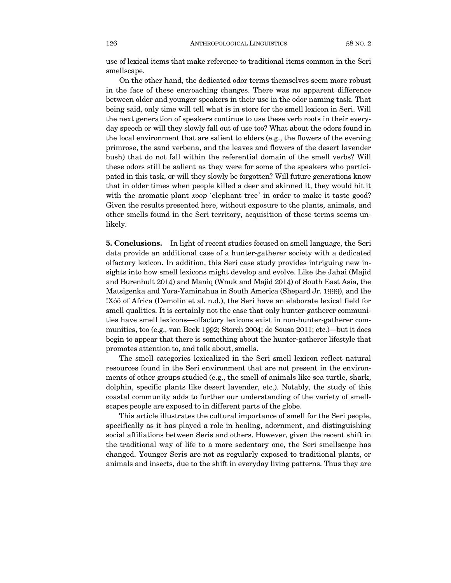use of lexical items that make reference to traditional items common in the Seri smellscape.

On the other hand, the dedicated odor terms themselves seem more robust in the face of these encroaching changes. There was no apparent difference between older and younger speakers in their use in the odor naming task. That being said, only time will tell what is in store for the smell lexicon in Seri. Will the next generation of speakers continue to use these verb roots in their everyday speech or will they slowly fall out of use too? What about the odors found in the local environment that are salient to elders (e.g., the flowers of the evening primrose, the sand verbena, and the leaves and flowers of the desert lavender bush) that do not fall within the referential domain of the smell verbs? Will these odors still be salient as they were for some of the speakers who participated in this task, or will they slowly be forgotten? Will future generations know that in older times when people killed a deer and skinned it, they would hit it with the aromatic plant *xoop* 'elephant tree' in order to make it taste good? Given the results presented here, without exposure to the plants, animals, and other smells found in the Seri territory, acquisition of these terms seems unlikely.

**5. Conclusions.** In light of recent studies focused on smell language, the Seri data provide an additional case of a hunter-gatherer society with a dedicated olfactory lexicon. In addition, this Seri case study provides intriguing new insights into how smell lexicons might develop and evolve. Like the Jahai (Majid and Burenhult 2014) and Maniq (Wnuk and Majid 2014) of South East Asia, the Matsigenka and Yora-Yaminahua in South America (Shepard Jr. 1999), and the !Xóõ of Africa (Demolin et al. n.d.), the Seri have an elaborate lexical field for smell qualities. It is certainly not the case that only hunter-gatherer communities have smell lexicons–olfactory lexicons exist in non-hunter-gatherer communities, too (e.g., van Beek 1992; Storch 2004; de Sousa 2011; etc.)–but it does begin to appear that there is something about the hunter-gatherer lifestyle that promotes attention to, and talk about, smells.

The smell categories lexicalized in the Seri smell lexicon reflect natural resources found in the Seri environment that are not present in the environments of other groups studied (e.g., the smell of animals like sea turtle, shark, dolphin, specific plants like desert lavender, etc.). Notably, the study of this coastal community adds to further our understanding of the variety of smellscapes people are exposed to in different parts of the globe.

This article illustrates the cultural importance of smell for the Seri people, specifically as it has played a role in healing, adornment, and distinguishing social affiliations between Seris and others. However, given the recent shift in the traditional way of life to a more sedentary one, the Seri smellscape has changed. Younger Seris are not as regularly exposed to traditional plants, or animals and insects, due to the shift in everyday living patterns. Thus they are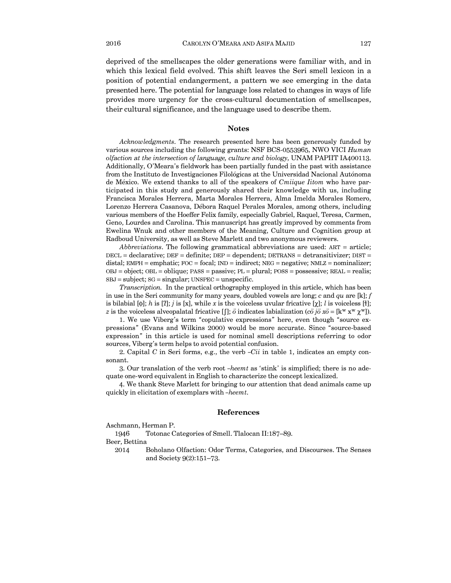deprived of the smellscapes the older generations were familiar with, and in which this lexical field evolved. This shift leaves the Seri smell lexicon in a position of potential endangerment, a pattern we see emerging in the data presented here. The potential for language loss related to changes in ways of life provides more urgency for the cross-cultural documentation of smellscapes, their cultural significance, and the language used to describe them.

#### **Notes**

*Acknowledgments*. The research presented here has been generously funded by various sources including the following grants: NSF BCS-0553965, NWO VICI *Human olfaction at the intersection of language, culture and biology*, UNAM PAPIIT IA400113. Additionally, O'Meara's fieldwork has been partially funded in the past with assistance from the Instituto de Investigaciones Filológicas at the Universidad Nacional Autónoma de México. We extend thanks to all of the speakers of *Cmiique Iitom* who have participated in this study and generously shared their knowledge with us, including Francisca Morales Herrera, Marta Morales Herrera, Alma Imelda Morales Romero, Lorenzo Herrera Casanova, Débora Raquel Perales Morales, among others, including various members of the Hoeffer Felix family, especially Gabriel, Raquel, Teresa, Carmen, Geno, Lourdes and Carolina. This manuscript has greatly improved by comments from Ewelina Wnuk and other members of the Meaning, Culture and Cognition group at Radboud University, as well as Steve Marlett and two anonymous reviewers.

*Abbreviations*. The following grammatical abbreviations are used: ART = article; DECL = declarative; DEF = definite; DEP = dependent; DETRANS = detransitivizer; DIST = distal; EMPH = emphatic;  $FOC = focal$ ;  $IND = indirect$ ;  $NEG = negative$ ;  $NMLZ = nominalizer$ ; OBJ = object; OBL = oblique; PASS = passive; PL = plural; POSS = possessive; REAL = realis;  $SBJ = subject; SG = singular; UNSPEC = unspecified.$ 

*Transcription.* In the practical orthography employed in this article, which has been in use in the Seri community for many years, doubled vowels are long; *c* and *qu* are [k]; *f* is bilabial  $[\phi]$ ; *h* is [*î*]; *j* is [*x*], while *x* is the voiceless uvular fricative [*x*]; *l* is voiceless [ł]; *z* is the voiceless alveopalatal fricative  $[[$ ; *ö* indicates labialization (*cö jö xö* = [k<sup>w</sup> x<sup>w</sup>  $\chi$ <sup>w</sup>]).

1. We use Viberg's term "copulative expressions" here, even though "source expressions" (Evans and Wilkins 2000) would be more accurate. Since "source-based expression" in this article is used for nominal smell descriptions referring to odor sources, Viberg's term helps to avoid potential confusion.

2. Capital  $C$  in Seri forms, e.g., the verb  $-Cii$  in table 1, indicates an empty consonant.

3. Our translation of the verb root *¤heemt* as 'stink' is simplified; there is no adequate one-word equivalent in English to characterize the concept lexicalized.

4. We thank Steve Marlett for bringing to our attention that dead animals came up quickly in elicitation of exemplars with *-heemt*.

### **References**

Aschmann, Herman P.

1946 Totonac Categories of Smell. Tlalocan II:187—89.

Beer, Bettina

2014 Boholano Olfaction: Odor Terms, Categories, and Discourses. The Senses and Society 9(2):151—73.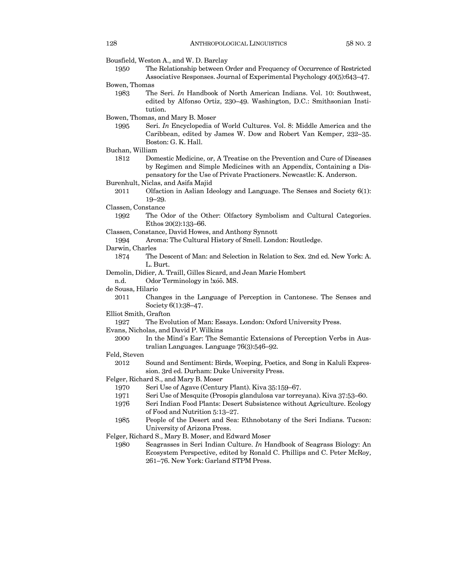- Bousfield, Weston A., and W. D. Barclay
	- 1950 The Relationship between Order and Frequency of Occurrence of Restricted Associative Responses. Journal of Experimental Psychology 40(5):643—47.
- Bowen, Thomas
	- 1983 The Seri. *In* Handbook of North American Indians. Vol. 10: Southwest, edited by Alfonso Ortiz, 230—49. Washington, D.C.: Smithsonian Institution.

Bowen, Thomas, and Mary B. Moser

- 1995 Seri. *In* Encyclopedia of World Cultures. Vol. 8: Middle America and the Caribbean, edited by James W. Dow and Robert Van Kemper, 232—35. Boston: G. K. Hall.
- Buchan, William
	- 1812 Domestic Medicine, or, A Treatise on the Prevention and Cure of Diseases by Regimen and Simple Medicines with an Appendix, Containing a Dispensatory for the Use of Private Practioners. Newcastle: K. Anderson.
- Burenhult, Niclas, and Asifa Majid
	- 2011 Olfaction in Aslian Ideology and Language. The Senses and Society 6(1): 19—29.
- Classen, Constance
	- 1992 The Odor of the Other: Olfactory Symbolism and Cultural Categories. Ethos 20(2):133—66.
- Classen, Constance, David Howes, and Anthony Synnott

1994 Aroma: The Cultural History of Smell. London: Routledge.

- Darwin, Charles
	- 1874 The Descent of Man: and Selection in Relation to Sex. 2nd ed. New York: A. L. Burt.
- Demolin, Didier, A. Traill, Gilles Sicard, and Jean Marie Hombert
	- n.d. Odor Terminology in !xóõ. MS.
- de Sousa, Hilario
	- 2011 Changes in the Language of Perception in Cantonese. The Senses and Society 6(1):38—47.
- Elliot Smith, Grafton
	- 1927 The Evolution of Man: Essays. London: Oxford University Press.
- Evans, Nicholas, and David P. Wilkins
	- 2000 In the Mind's Ear: The Semantic Extensions of Perception Verbs in Australian Languages. Language 76(3):546—92.
- Feld, Steven
	- 2012 Sound and Sentiment: Birds, Weeping, Poetics, and Song in Kaluli Expression. 3rd ed. Durham: Duke University Press.
- Felger, Richard S., and Mary B. Moser
	- 1970 Seri Use of Agave (Century Plant). Kiva 35:159—67.
	- 1971 Seri Use of Mesquite (Prosopis glandulosa var torreyana). Kiva 37:53—60.
	- 1976 Seri Indian Food Plants: Desert Subsistence without Agriculture. Ecology of Food and Nutrition 5:13—27.
	- 1985 People of the Desert and Sea: Ethnobotany of the Seri Indians. Tucson: University of Arizona Press.
- Felger, Richard S., Mary B. Moser, and Edward Moser
	- 1980 Seagrasses in Seri Indian Culture. *In* Handbook of Seagrass Biology: An Ecosystem Perspective, edited by Ronald C. Phillips and C. Peter McRoy, 261—76. New York: Garland STPM Press.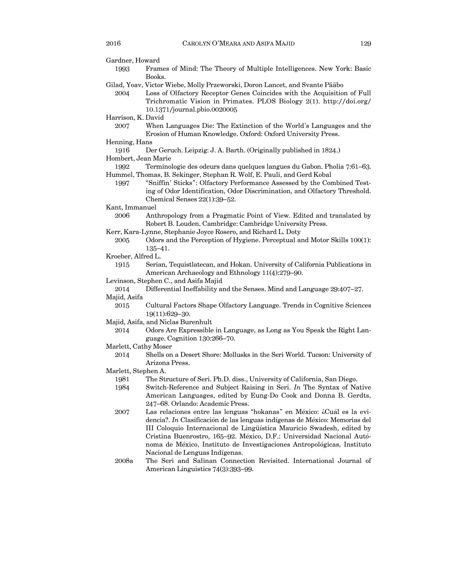| Gardner, Howard      |                                                                                                                                                                                                                                                                                                                                                                                                                    |
|----------------------|--------------------------------------------------------------------------------------------------------------------------------------------------------------------------------------------------------------------------------------------------------------------------------------------------------------------------------------------------------------------------------------------------------------------|
| 1993                 | Frames of Mind: The Theory of Multiple Intelligences. New York: Basic                                                                                                                                                                                                                                                                                                                                              |
|                      | Books.                                                                                                                                                                                                                                                                                                                                                                                                             |
|                      | Gilad, Yoav, Victor Wiebe, Molly Przeworski, Doron Lancet, and Svante Pääbo                                                                                                                                                                                                                                                                                                                                        |
| 2004                 | Loss of Olfactory Receptor Genes Coincides with the Acquisition of Full<br>Trichromatic Vision in Primates. PLOS Biology 2(1). http://doi.org/<br>10.1371/journal.pbio.0020005                                                                                                                                                                                                                                     |
| Harrison, K. David   |                                                                                                                                                                                                                                                                                                                                                                                                                    |
| 2007                 | When Languages Die: The Extinction of the World's Languages and the<br>Erosion of Human Knowledge. Oxford: Oxford University Press.                                                                                                                                                                                                                                                                                |
| Henning, Hans        |                                                                                                                                                                                                                                                                                                                                                                                                                    |
| 1916                 | Der Geruch. Leipzig: J. A. Barth. (Originally published in 1824.)                                                                                                                                                                                                                                                                                                                                                  |
| Hombert, Jean Marie  |                                                                                                                                                                                                                                                                                                                                                                                                                    |
| 1992                 | Terminologie des odeurs dans quelques langues du Gabon. Pholia 7:61–63.                                                                                                                                                                                                                                                                                                                                            |
| 1997                 | Hummel, Thomas, B. Sekinger, Stephan R. Wolf, E. Pauli, and Gerd Kobal<br>"Sniffin' Sticks": Olfactory Performance Assessed by the Combined Test-<br>ing of Odor Identification, Odor Discrimination, and Olfactory Threshold.<br>Chemical Senses $22(1):39-52$ .                                                                                                                                                  |
| Kant, Immanuel       |                                                                                                                                                                                                                                                                                                                                                                                                                    |
| 2006                 | Anthropology from a Pragmatic Point of View. Edited and translated by<br>Robert B. Louden. Cambridge: Cambridge University Press.                                                                                                                                                                                                                                                                                  |
|                      | Kerr, Kara-Lynne, Stephanie Joyce Rosero, and Richard L. Doty                                                                                                                                                                                                                                                                                                                                                      |
| 2005                 | Odors and the Perception of Hygiene. Perceptual and Motor Skills 100(1):                                                                                                                                                                                                                                                                                                                                           |
|                      | $135 - 41.$                                                                                                                                                                                                                                                                                                                                                                                                        |
| Kroeber, Alfred L.   |                                                                                                                                                                                                                                                                                                                                                                                                                    |
| 1915                 | Serian, Tequistlatecan, and Hokan. University of California Publications in<br>American Archaeology and Ethnology 11(4):279-90.                                                                                                                                                                                                                                                                                    |
|                      | Levinson, Stephen C., and Asifa Majid                                                                                                                                                                                                                                                                                                                                                                              |
| 2014                 | Differential Ineffability and the Senses. Mind and Language 29:407-27.                                                                                                                                                                                                                                                                                                                                             |
| Majid, Asifa         |                                                                                                                                                                                                                                                                                                                                                                                                                    |
| 2015                 | Cultural Factors Shape Olfactory Language. Trends in Cognitive Sciences                                                                                                                                                                                                                                                                                                                                            |
|                      | 19(11):629-30.                                                                                                                                                                                                                                                                                                                                                                                                     |
|                      | Majid, Asifa, and Niclas Burenhult                                                                                                                                                                                                                                                                                                                                                                                 |
| 2014                 | Odors Are Expressible in Language, as Long as You Speak the Right Lan-<br>guage. Cognition 130:266-70.                                                                                                                                                                                                                                                                                                             |
| Marlett, Cathy Moser |                                                                                                                                                                                                                                                                                                                                                                                                                    |
| 2014                 | Shells on a Desert Shore: Mollusks in the Seri World. Tucson: University of                                                                                                                                                                                                                                                                                                                                        |
|                      | Arizona Press.                                                                                                                                                                                                                                                                                                                                                                                                     |
| Marlett, Stephen A.  |                                                                                                                                                                                                                                                                                                                                                                                                                    |
| 1981                 | The Structure of Seri. Ph.D. diss., University of California, San Diego.                                                                                                                                                                                                                                                                                                                                           |
| 1984                 | Switch-Reference and Subject Raising in Seri. In The Syntax of Native                                                                                                                                                                                                                                                                                                                                              |
|                      | American Languages, edited by Eung-Do Cook and Donna B. Gerdts,<br>247-68. Orlando: Academic Press.                                                                                                                                                                                                                                                                                                                |
| 2007                 | Las relaciones entre las lenguas "hokanas" en México: ¿Cuál es la evi-<br>dencia?. In Clasificación de las lenguas indígenas de México: Memorias del<br>III Coloquio Internacional de Lingüística Mauricio Swadesh, edited by<br>Cristina Buenrostro, 165-92. México, D.F.: Universidad Nacional Autó-<br>noma de México, Instituto de Investigaciones Antropológicas, Instituto<br>Nacional de Lenguas Indígenas. |

2008a The Seri and Salinan Connection Revisited. International Journal of American Linguistics 74(3):393—99.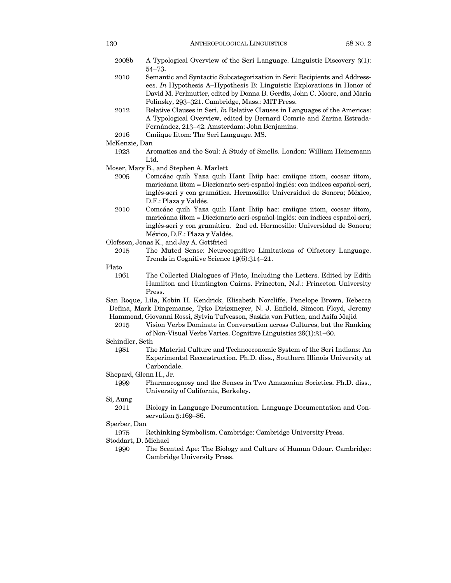| 2008b | A Typological Overview of the Seri Language. Linguistic Discovery 3(1):   |
|-------|---------------------------------------------------------------------------|
|       | $54 - 73.$                                                                |
| 2010  | Semantic and Syntactic Subcategorization in Seri: Recipients and Address- |

- Semantic and Syntactic Subcategorization in Seri: Recipients and Address ees. *In* Hypothesis A—Hypothesis B: Linguistic Explorations in Honor of David M. Perlmutter, edited by Donna B. Gerdts, John C. Moore, and Maria Polinsky, 293—321. Cambridge, Mass.: MIT Press.
- 2012 Relative Clauses in Seri. *In* Relative Clauses in Languages of the Americas: A Typological Overview, edited by Bernard Comrie and Zarina Estrada-Fernández, 213—42. Amsterdam: John Benjamins.
- 2016 Cmiique Iitom: The Seri Language. MS.
- McKenzie, Dan
	- 1923 Aromatics and the Soul: A Study of Smells. London: William Heinemann Ltd.
- Moser, Mary B., and Stephen A. Marlett
	- 2005 Comcáac quih Yaza quih Hant Ihíip hac: cmiique iitom, cocsar iitom, maricáana iitom = Diccionario seri-español-inglés: con indices español-seri, inglés-seri y con gramática. Hermosillo: Universidad de Sonora; México, D.F.: Plaza y Valdés.
	- 2010 Comcáac quih Yaza quih Hant Ihíip hac: cmiique iitom, cocsar iitom, maricáana iitom = Diccionario seri-español-inglés: con indices español-seri, inglés-seri y con gramática. 2nd ed. Hermosillo: Universidad de Sonora; México, D.F.: Plaza y Valdés.
- Olofsson, Jonas K., and Jay A. Gottfried
	- 2015 The Muted Sense: Neurocognitive Limitations of Olfactory Language. Trends in Cognitive Science 19(6):314—21.

Plato

- 1961 The Collected Dialogues of Plato, Including the Letters. Edited by Edith Hamilton and Huntington Cairns. Princeton, N.J.: Princeton University Press.
- San Roque, Lila, Kobin H. Kendrick, Elisabeth Norcliffe, Penelope Brown, Rebecca Defina, Mark Dingemanse, Tyko Dirksmeyer, N. J. Enfield, Simeon Floyd, Jeremy Hammond, Giovanni Rossi, Sylvia Tufvesson, Saskia van Putten, and Asifa Majid
	- 2015 Vision Verbs Dominate in Conversation across Cultures, but the Ranking of Non-Visual Verbs Varies. Cognitive Linguistics 26(1):31—60.
- Schindler, Seth
	- 1981 The Material Culture and Technoeconomic System of the Seri Indians: An Experimental Reconstruction. Ph.D. diss., Southern Illinois University at Carbondale.
- Shepard, Glenn H., Jr.
- 1999 Pharmacognosy and the Senses in Two Amazonian Societies. Ph.D. diss., University of California, Berkeley.

#### Si, Aung

2011 Biology in Language Documentation. Language Documentation and Conservation 5:169—86.

#### Sperber, Dan

1975 Rethinking Symbolism. Cambridge: Cambridge University Press.

Stoddart, D. Michael

1990 The Scented Ape: The Biology and Culture of Human Odour. Cambridge: Cambridge University Press.